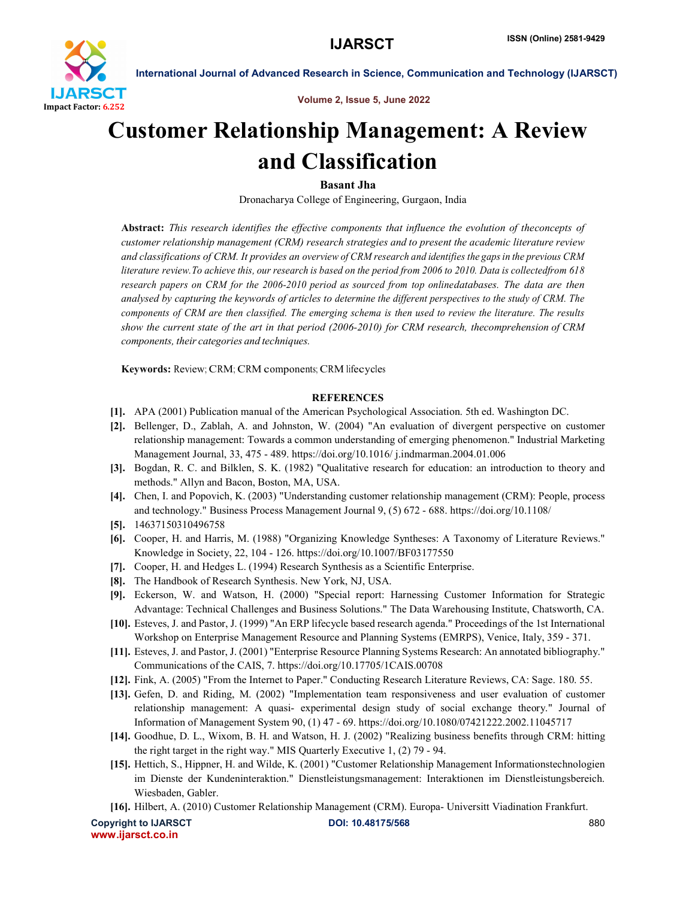

International Journal of Advanced Research in Science, Communication and Technology (IJARSCT)

Volume 2, Issue 5, June 2022

# Customer Relationship Management: A Review and Classification

Basant Jha

Dronacharya College of Engineering, Gurgaon, India

Abstract: *This research identifies the effective components that influence the evolution of theconcepts of customer relationship management (CRM) research strategies and to present the academic literature review and classifications of CRM. It provides an overview of CRM research and identifies the gapsin the previous CRM* literature review. To achieve this, our research is based on the period from 2006 to 2010. Data is collectedfrom 618 *research papers on CRM for the 2006-2010 period as sourced from top onlinedatabases. The data are then analysed by capturing the keywords of articles to determine the different perspectives to the study of CRM. The components of CRM are then classified. The emerging schema is then used to review the literature. The results show the current state of the art in that period (2006-2010) for CRM research, thecomprehension of CRM components, their categories and techniques.*

Keywords: Review; CRM; CRM components; CRM lifecycles

# **REFERENCES**

- [1]. APA (2001) Publication manual of the American Psychological Association. 5th ed. Washington DC.
- [2]. Bellenger, D., Zablah, A. and Johnston, W. (2004) "An evaluation of divergent perspective on customer relationship management: Towards a common understanding of emerging phenomenon." Industrial Marketing Management Journal, 33, 475 - 489. https://doi.org/10.1016/ j.indmarman.2004.01.006
- [3]. Bogdan, R. C. and Bilklen, S. K. (1982) "Qualitative research for education: an introduction to theory and methods." Allyn and Bacon, Boston, MA, USA.
- [4]. Chen, I. and Popovich, K. (2003) "Understanding customer relationship management (CRM): People, process and technology." Business Process Management Journal 9, (5) 672 - 688. https://doi.org/10.1108/
- [5]. 14637150310496758
- [6]. Cooper, H. and Harris, M. (1988) "Organizing Knowledge Syntheses: A Taxonomy of Literature Reviews." Knowledge in Society, 22, 104 - 126. https://doi.org/10.1007/BF03177550
- [7]. Cooper, H. and Hedges L. (1994) Research Synthesis as a Scientific Enterprise.
- [8]. The Handbook of Research Synthesis. New York, NJ, USA.
- [9]. Eckerson, W. and Watson, H. (2000) "Special report: Harnessing Customer Information for Strategic Advantage: Technical Challenges and Business Solutions." The Data Warehousing Institute, Chatsworth, CA.
- [10]. Esteves, J. and Pastor, J. (1999) "An ERP lifecycle based research agenda." Proceedings of the 1st International Workshop on Enterprise Management Resource and Planning Systems (EMRPS), Venice, Italy, 359 - 371.
- [11]. Esteves, J. and Pastor, J. (2001) "Enterprise Resource Planning Systems Research: An annotated bibliography." Communications of the CAIS, 7. https://doi.org/10.17705/1CAIS.00708
- [12]. Fink, A. (2005) "From the Internet to Paper." Conducting Research Literature Reviews, CA: Sage. 180. 55.
- [13]. Gefen, D. and Riding, M. (2002) "Implementation team responsiveness and user evaluation of customer relationship management: A quasi- experimental design study of social exchange theory." Journal of Information of Management System 90, (1) 47 - 69. https://doi.org/10.1080/07421222.2002.11045717
- [14]. Goodhue, D. L., Wixom, B. H. and Watson, H. J. (2002) "Realizing business benefits through CRM: hitting the right target in the right way." MIS Quarterly Executive 1, (2) 79 - 94.
- [15]. Hettich, S., Hippner, H. and Wilde, K. (2001) "Customer Relationship Management Informationstechnologien im Dienste der Kundeninteraktion." Dienstleistungsmanagement: Interaktionen im Dienstleistungsbereich. Wiesbaden, Gabler.
- [16]. Hilbert, A. (2010) Customer Relationship Management (CRM). Europa- Universitt Viadination Frankfurt.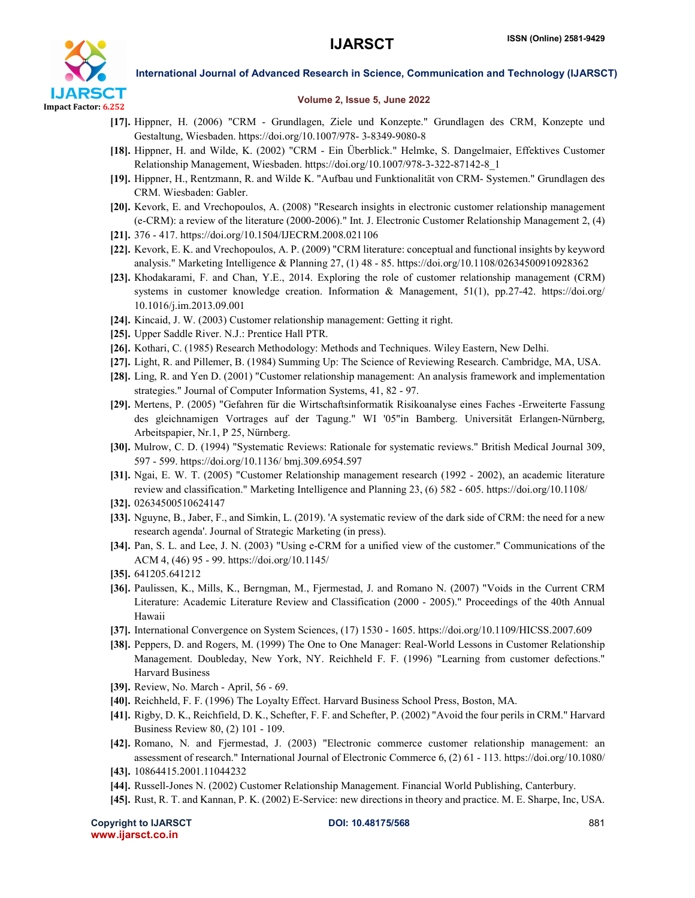

International Journal of Advanced Research in Science, Communication and Technology (IJARSCT)

### Volume 2, Issue 5, June 2022

- [17]. Hippner, H. (2006) "CRM Grundlagen, Ziele und Konzepte." Grundlagen des CRM, Konzepte und Gestaltung, Wiesbaden. https://doi.org/10.1007/978- 3-8349-9080-8
- [18]. Hippner, H. and Wilde, K. (2002) "CRM Ein Überblick." Helmke, S. Dangelmaier, Effektives Customer Relationship Management, Wiesbaden. https://doi.org/10.1007/978-3-322-87142-8\_1
- [19]. Hippner, H., Rentzmann, R. and Wilde K. "Aufbau und Funktionalität von CRM- Systemen." Grundlagen des CRM. Wiesbaden: Gabler.
- [20]. Kevork, E. and Vrechopoulos, A. (2008) "Research insights in electronic customer relationship management (e-CRM): a review of the literature (2000-2006)." Int. J. Electronic Customer Relationship Management 2, (4)
- [21]. 376 417. https://doi.org/10.1504/IJECRM.2008.021106
- [22]. Kevork, E. K. and Vrechopoulos, A. P. (2009) "CRM literature: conceptual and functional insights by keyword analysis." Marketing Intelligence & Planning 27, (1) 48 - 85. https://doi.org/10.1108/02634500910928362
- [23]. Khodakarami, F. and Chan, Y.E., 2014. Exploring the role of customer relationship management (CRM) systems in customer knowledge creation. Information & Management, 51(1), pp.27-42. https://doi.org/ 10.1016/j.im.2013.09.001
- [24]. Kincaid, J. W. (2003) Customer relationship management: Getting it right.
- [25]. Upper Saddle River. N.J.: Prentice Hall PTR.
- [26]. Kothari, C. (1985) Research Methodology: Methods and Techniques. Wiley Eastern, New Delhi.
- [27]. Light, R. and Pillemer, B. (1984) Summing Up: The Science of Reviewing Research. Cambridge, MA, USA.
- [28]. Ling, R. and Yen D. (2001) "Customer relationship management: An analysis framework and implementation strategies." Journal of Computer Information Systems, 41, 82 - 97.
- [29]. Mertens, P. (2005) "Gefahren für die Wirtschaftsinformatik Risikoanalyse eines Faches -Erweiterte Fassung des gleichnamigen Vortrages auf der Tagung." WI '05"in Bamberg. Universität Erlangen-Nürnberg, Arbeitspapier, Nr.1, P 25, Nürnberg.
- [30]. Mulrow, C. D. (1994) "Systematic Reviews: Rationale for systematic reviews." British Medical Journal 309, 597 - 599. https://doi.org/10.1136/ bmj.309.6954.597
- [31]. Ngai, E. W. T. (2005) "Customer Relationship management research (1992 2002), an academic literature review and classification." Marketing Intelligence and Planning 23, (6) 582 - 605. https://doi.org/10.1108/
- [32]. 02634500510624147
- [33]. Nguyne, B., Jaber, F., and Simkin, L. (2019). 'A systematic review of the dark side of CRM: the need for a new research agenda'. Journal of Strategic Marketing (in press).
- [34]. Pan, S. L. and Lee, J. N. (2003) "Using e-CRM for a unified view of the customer." Communications of the ACM 4, (46) 95 - 99. https://doi.org/10.1145/
- [35]. 641205.641212
- [36]. Paulissen, K., Mills, K., Berngman, M., Fjermestad, J. and Romano N. (2007) "Voids in the Current CRM Literature: Academic Literature Review and Classification (2000 - 2005)." Proceedings of the 40th Annual Hawaii
- [37]. International Convergence on System Sciences, (17) 1530 1605. https://doi.org/10.1109/HICSS.2007.609
- [38]. Peppers, D. and Rogers, M. (1999) The One to One Manager: Real-World Lessons in Customer Relationship Management. Doubleday, New York, NY. Reichheld F. F. (1996) "Learning from customer defections." Harvard Business
- [39]. Review, No. March April, 56 69.
- [40]. Reichheld, F. F. (1996) The Loyalty Effect. Harvard Business School Press, Boston, MA.
- [41]. Rigby, D. K., Reichfield, D. K., Schefter, F. F. and Schefter, P. (2002) "Avoid the four perils in CRM." Harvard Business Review 80, (2) 101 - 109.
- [42]. Romano, N. and Fjermestad, J. (2003) "Electronic commerce customer relationship management: an assessment of research." International Journal of Electronic Commerce 6, (2) 61 - 113. https://doi.org/10.1080/
- [43]. 10864415.2001.11044232
- [44]. Russell-Jones N. (2002) Customer Relationship Management. Financial World Publishing, Canterbury.
- [45]. Rust, R. T. and Kannan, P. K. (2002) E-Service: new directions in theory and practice. M. E. Sharpe, Inc, USA.